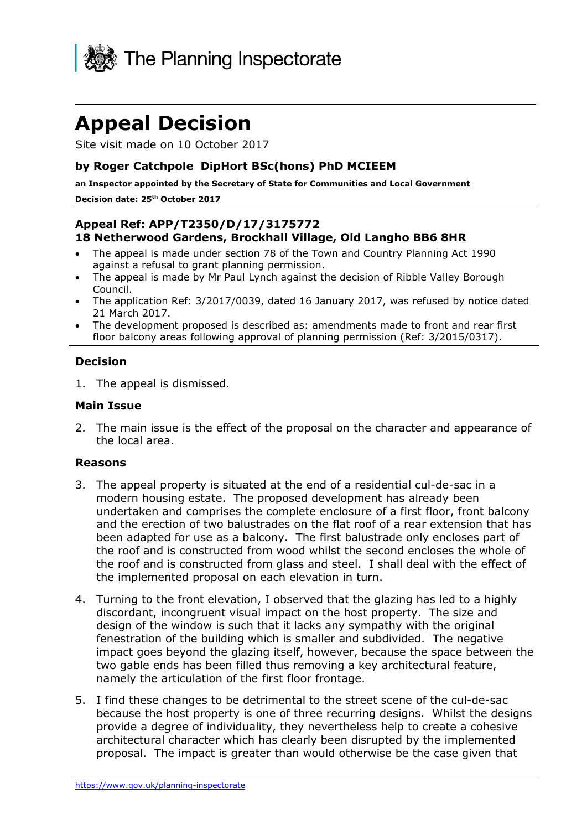

Site visit made on 10 October 2017

### **by Roger Catchpole DipHort BSc(hons) PhD MCIEEM**

**an Inspector appointed by the Secretary of State for Communities and Local Government Decision date: 25th October 2017**

### **Appeal Ref: APP/T2350/D/17/3175772 18 Netherwood Gardens, Brockhall Village, Old Langho BB6 8HR**

- The appeal is made under section 78 of the Town and Country Planning Act 1990 against a refusal to grant planning permission.
- The appeal is made by Mr Paul Lynch against the decision of Ribble Valley Borough Council.
- The application Ref: 3/2017/0039, dated 16 January 2017, was refused by notice dated 21 March 2017.
- The development proposed is described as: amendments made to front and rear first floor balcony areas following approval of planning permission (Ref: 3/2015/0317).

#### **Decision**

1. The appeal is dismissed.

#### **Main Issue**

2. The main issue is the effect of the proposal on the character and appearance of the local area.

#### **Reasons**

- 3. The appeal property is situated at the end of a residential cul-de-sac in a modern housing estate. The proposed development has already been undertaken and comprises the complete enclosure of a first floor, front balcony and the erection of two balustrades on the flat roof of a rear extension that has been adapted for use as a balcony. The first balustrade only encloses part of the roof and is constructed from wood whilst the second encloses the whole of the roof and is constructed from glass and steel. I shall deal with the effect of the implemented proposal on each elevation in turn.
- 4. Turning to the front elevation, I observed that the glazing has led to a highly discordant, incongruent visual impact on the host property. The size and design of the window is such that it lacks any sympathy with the original fenestration of the building which is smaller and subdivided. The negative impact goes beyond the glazing itself, however, because the space between the two gable ends has been filled thus removing a key architectural feature, namely the articulation of the first floor frontage.
- 5. I find these changes to be detrimental to the street scene of the cul-de-sac because the host property is one of three recurring designs. Whilst the designs provide a degree of individuality, they nevertheless help to create a cohesive architectural character which has clearly been disrupted by the implemented proposal. The impact is greater than would otherwise be the case given that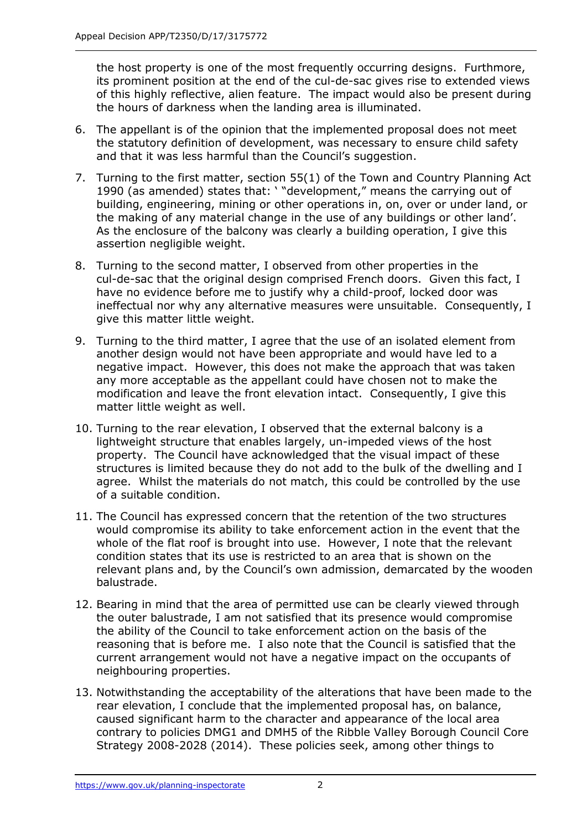the host property is one of the most frequently occurring designs. Furthmore, its prominent position at the end of the cul-de-sac gives rise to extended views of this highly reflective, alien feature. The impact would also be present during the hours of darkness when the landing area is illuminated.

- 6. The appellant is of the opinion that the implemented proposal does not meet the statutory definition of development, was necessary to ensure child safety and that it was less harmful than the Council's suggestion.
- 7. Turning to the first matter, section 55(1) of the Town and Country Planning Act 1990 (as amended) states that: ' "development," means the carrying out of building, engineering, mining or other operations in, on, over or under land, or the making of any material change in the use of any buildings or other land'. As the enclosure of the balcony was clearly a building operation, I give this assertion negligible weight.
- 8. Turning to the second matter, I observed from other properties in the cul-de-sac that the original design comprised French doors. Given this fact, I have no evidence before me to justify why a child-proof, locked door was ineffectual nor why any alternative measures were unsuitable. Consequently, I give this matter little weight.
- 9. Turning to the third matter, I agree that the use of an isolated element from another design would not have been appropriate and would have led to a negative impact. However, this does not make the approach that was taken any more acceptable as the appellant could have chosen not to make the modification and leave the front elevation intact. Consequently, I give this matter little weight as well.
- 10. Turning to the rear elevation, I observed that the external balcony is a lightweight structure that enables largely, un-impeded views of the host property. The Council have acknowledged that the visual impact of these structures is limited because they do not add to the bulk of the dwelling and I agree. Whilst the materials do not match, this could be controlled by the use of a suitable condition.
- 11. The Council has expressed concern that the retention of the two structures would compromise its ability to take enforcement action in the event that the whole of the flat roof is brought into use. However, I note that the relevant condition states that its use is restricted to an area that is shown on the relevant plans and, by the Council's own admission, demarcated by the wooden balustrade.
- 12. Bearing in mind that the area of permitted use can be clearly viewed through the outer balustrade, I am not satisfied that its presence would compromise the ability of the Council to take enforcement action on the basis of the reasoning that is before me. I also note that the Council is satisfied that the current arrangement would not have a negative impact on the occupants of neighbouring properties.
- 13. Notwithstanding the acceptability of the alterations that have been made to the rear elevation, I conclude that the implemented proposal has, on balance, caused significant harm to the character and appearance of the local area contrary to policies DMG1 and DMH5 of the Ribble Valley Borough Council Core Strategy 2008-2028 (2014). These policies seek, among other things to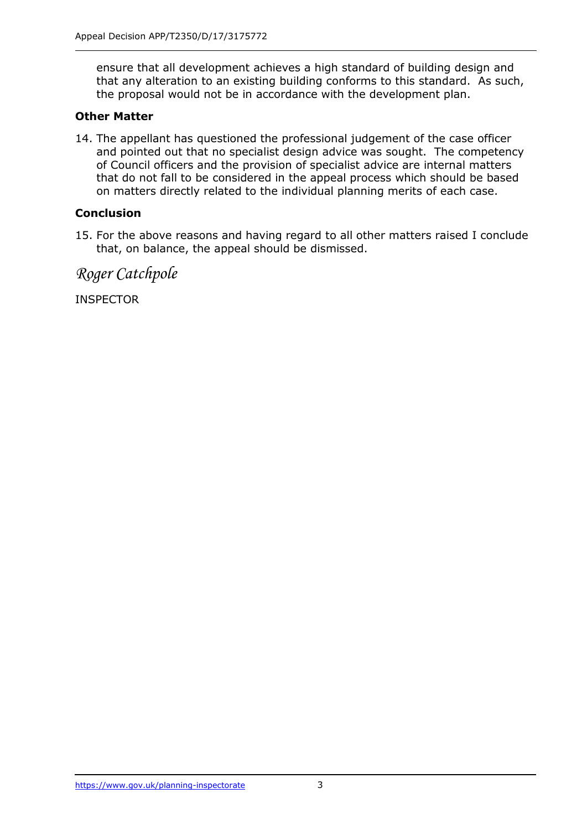ensure that all development achieves a high standard of building design and that any alteration to an existing building conforms to this standard. As such, the proposal would not be in accordance with the development plan.

### **Other Matter**

14. The appellant has questioned the professional judgement of the case officer and pointed out that no specialist design advice was sought. The competency of Council officers and the provision of specialist advice are internal matters that do not fall to be considered in the appeal process which should be based on matters directly related to the individual planning merits of each case.

# **Conclusion**

15. For the above reasons and having regard to all other matters raised I conclude that, on balance, the appeal should be dismissed.

*Roger Catchpole*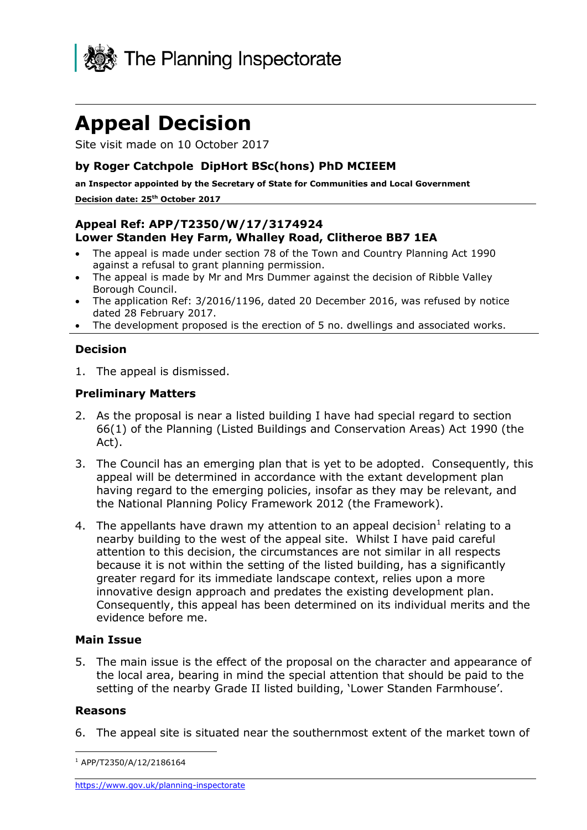

Site visit made on 10 October 2017

### **by Roger Catchpole DipHort BSc(hons) PhD MCIEEM**

**an Inspector appointed by the Secretary of State for Communities and Local Government Decision date: 25th October 2017**

### **Appeal Ref: APP/T2350/W/17/3174924 Lower Standen Hey Farm, Whalley Road, Clitheroe BB7 1EA**

- The appeal is made under section 78 of the Town and Country Planning Act 1990 against a refusal to grant planning permission.
- The appeal is made by Mr and Mrs Dummer against the decision of Ribble Valley Borough Council.
- The application Ref: 3/2016/1196, dated 20 December 2016, was refused by notice dated 28 February 2017.
- The development proposed is the erection of 5 no. dwellings and associated works.

# **Decision**

1. The appeal is dismissed.

### **Preliminary Matters**

- 2. As the proposal is near a listed building I have had special regard to section 66(1) of the Planning (Listed Buildings and Conservation Areas) Act 1990 (the Act).
- 3. The Council has an emerging plan that is yet to be adopted. Consequently, this appeal will be determined in accordance with the extant development plan having regard to the emerging policies, insofar as they may be relevant, and the National Planning Policy Framework 2012 (the Framework).
- 4. The appellants have drawn my attention to an appeal decision<sup>1</sup> relating to a nearby building to the west of the appeal site. Whilst I have paid careful attention to this decision, the circumstances are not similar in all respects because it is not within the setting of the listed building, has a significantly greater regard for its immediate landscape context, relies upon a more innovative design approach and predates the existing development plan. Consequently, this appeal has been determined on its individual merits and the evidence before me.

# **Main Issue**

5. The main issue is the effect of the proposal on the character and appearance of the local area, bearing in mind the special attention that should be paid to the setting of the nearby Grade II listed building, 'Lower Standen Farmhouse'.

#### **Reasons**

6. The appeal site is situated near the southernmost extent of the market town of

j <sup>1</sup> APP/T2350/A/12/2186164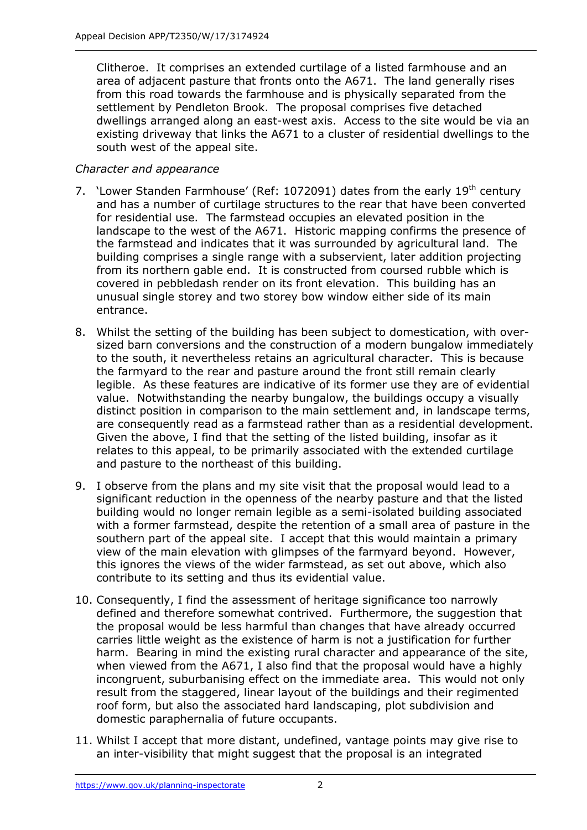Clitheroe. It comprises an extended curtilage of a listed farmhouse and an area of adjacent pasture that fronts onto the A671. The land generally rises from this road towards the farmhouse and is physically separated from the settlement by Pendleton Brook. The proposal comprises five detached dwellings arranged along an east-west axis. Access to the site would be via an existing driveway that links the A671 to a cluster of residential dwellings to the south west of the appeal site.

### *Character and appearance*

- 7. 'Lower Standen Farmhouse' (Ref: 1072091) dates from the early 19<sup>th</sup> century and has a number of curtilage structures to the rear that have been converted for residential use. The farmstead occupies an elevated position in the landscape to the west of the A671. Historic mapping confirms the presence of the farmstead and indicates that it was surrounded by agricultural land. The building comprises a single range with a subservient, later addition projecting from its northern gable end. It is constructed from coursed rubble which is covered in pebbledash render on its front elevation. This building has an unusual single storey and two storey bow window either side of its main entrance.
- 8. Whilst the setting of the building has been subject to domestication, with oversized barn conversions and the construction of a modern bungalow immediately to the south, it nevertheless retains an agricultural character. This is because the farmyard to the rear and pasture around the front still remain clearly legible. As these features are indicative of its former use they are of evidential value. Notwithstanding the nearby bungalow, the buildings occupy a visually distinct position in comparison to the main settlement and, in landscape terms, are consequently read as a farmstead rather than as a residential development. Given the above, I find that the setting of the listed building, insofar as it relates to this appeal, to be primarily associated with the extended curtilage and pasture to the northeast of this building.
- 9. I observe from the plans and my site visit that the proposal would lead to a significant reduction in the openness of the nearby pasture and that the listed building would no longer remain legible as a semi-isolated building associated with a former farmstead, despite the retention of a small area of pasture in the southern part of the appeal site. I accept that this would maintain a primary view of the main elevation with glimpses of the farmyard beyond. However, this ignores the views of the wider farmstead, as set out above, which also contribute to its setting and thus its evidential value.
- 10. Consequently, I find the assessment of heritage significance too narrowly defined and therefore somewhat contrived. Furthermore, the suggestion that the proposal would be less harmful than changes that have already occurred carries little weight as the existence of harm is not a justification for further harm. Bearing in mind the existing rural character and appearance of the site, when viewed from the A671, I also find that the proposal would have a highly incongruent, suburbanising effect on the immediate area. This would not only result from the staggered, linear layout of the buildings and their regimented roof form, but also the associated hard landscaping, plot subdivision and domestic paraphernalia of future occupants.
- 11. Whilst I accept that more distant, undefined, vantage points may give rise to an inter-visibility that might suggest that the proposal is an integrated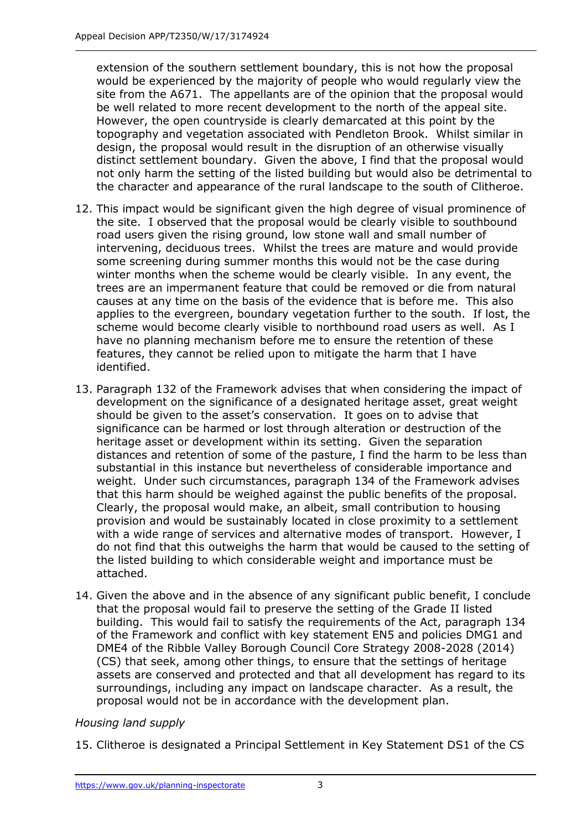extension of the southern settlement boundary, this is not how the proposal would be experienced by the majority of people who would regularly view the site from the A671. The appellants are of the opinion that the proposal would be well related to more recent development to the north of the appeal site. However, the open countryside is clearly demarcated at this point by the topography and vegetation associated with Pendleton Brook. Whilst similar in design, the proposal would result in the disruption of an otherwise visually distinct settlement boundary. Given the above, I find that the proposal would not only harm the setting of the listed building but would also be detrimental to the character and appearance of the rural landscape to the south of Clitheroe.

- 12. This impact would be significant given the high degree of visual prominence of the site. I observed that the proposal would be clearly visible to southbound road users given the rising ground, low stone wall and small number of intervening, deciduous trees. Whilst the trees are mature and would provide some screening during summer months this would not be the case during winter months when the scheme would be clearly visible. In any event, the trees are an impermanent feature that could be removed or die from natural causes at any time on the basis of the evidence that is before me. This also applies to the evergreen, boundary vegetation further to the south. If lost, the scheme would become clearly visible to northbound road users as well. As I have no planning mechanism before me to ensure the retention of these features, they cannot be relied upon to mitigate the harm that I have identified.
- 13. Paragraph 132 of the Framework advises that when considering the impact of development on the significance of a designated heritage asset, great weight should be given to the asset's conservation. It goes on to advise that significance can be harmed or lost through alteration or destruction of the heritage asset or development within its setting. Given the separation distances and retention of some of the pasture, I find the harm to be less than substantial in this instance but nevertheless of considerable importance and weight. Under such circumstances, paragraph 134 of the Framework advises that this harm should be weighed against the public benefits of the proposal. Clearly, the proposal would make, an albeit, small contribution to housing provision and would be sustainably located in close proximity to a settlement with a wide range of services and alternative modes of transport. However, I do not find that this outweighs the harm that would be caused to the setting of the listed building to which considerable weight and importance must be attached.
- 14. Given the above and in the absence of any significant public benefit, I conclude that the proposal would fail to preserve the setting of the Grade II listed building. This would fail to satisfy the requirements of the Act, paragraph 134 of the Framework and conflict with key statement EN5 and policies DMG1 and DME4 of the Ribble Valley Borough Council Core Strategy 2008-2028 (2014) (CS) that seek, among other things, to ensure that the settings of heritage assets are conserved and protected and that all development has regard to its surroundings, including any impact on landscape character. As a result, the proposal would not be in accordance with the development plan.

# *Housing land supply*

15. Clitheroe is designated a Principal Settlement in Key Statement DS1 of the CS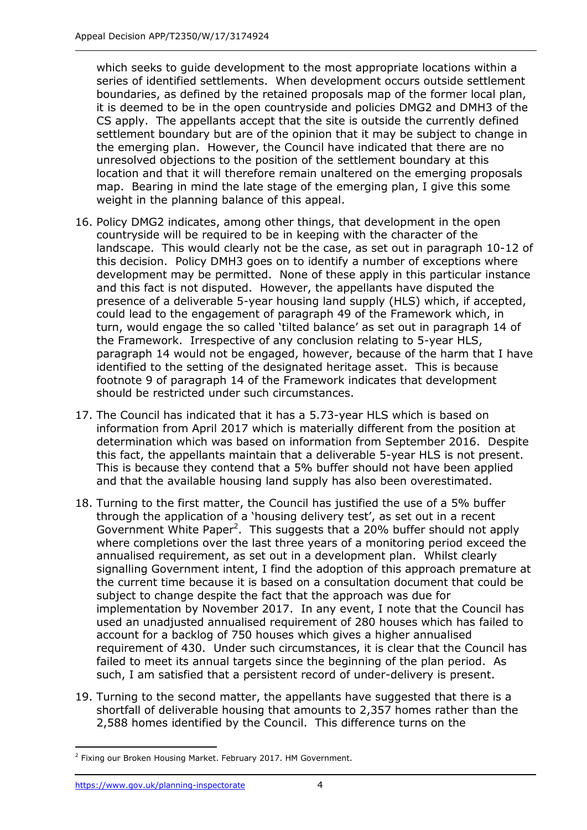which seeks to guide development to the most appropriate locations within a series of identified settlements. When development occurs outside settlement boundaries, as defined by the retained proposals map of the former local plan, it is deemed to be in the open countryside and policies DMG2 and DMH3 of the CS apply. The appellants accept that the site is outside the currently defined settlement boundary but are of the opinion that it may be subject to change in the emerging plan. However, the Council have indicated that there are no unresolved objections to the position of the settlement boundary at this location and that it will therefore remain unaltered on the emerging proposals map. Bearing in mind the late stage of the emerging plan, I give this some weight in the planning balance of this appeal.

- 16. Policy DMG2 indicates, among other things, that development in the open countryside will be required to be in keeping with the character of the landscape. This would clearly not be the case, as set out in paragraph 10-12 of this decision. Policy DMH3 goes on to identify a number of exceptions where development may be permitted. None of these apply in this particular instance and this fact is not disputed. However, the appellants have disputed the presence of a deliverable 5-year housing land supply (HLS) which, if accepted, could lead to the engagement of paragraph 49 of the Framework which, in turn, would engage the so called 'tilted balance' as set out in paragraph 14 of the Framework. Irrespective of any conclusion relating to 5-year HLS, paragraph 14 would not be engaged, however, because of the harm that I have identified to the setting of the designated heritage asset. This is because footnote 9 of paragraph 14 of the Framework indicates that development should be restricted under such circumstances.
- 17. The Council has indicated that it has a 5.73-year HLS which is based on information from April 2017 which is materially different from the position at determination which was based on information from September 2016. Despite this fact, the appellants maintain that a deliverable 5-year HLS is not present. This is because they contend that a 5% buffer should not have been applied and that the available housing land supply has also been overestimated.
- 18. Turning to the first matter, the Council has justified the use of a 5% buffer through the application of a 'housing delivery test', as set out in a recent Government White Paper<sup>2</sup>. This suggests that a 20% buffer should not apply where completions over the last three years of a monitoring period exceed the annualised requirement, as set out in a development plan. Whilst clearly signalling Government intent, I find the adoption of this approach premature at the current time because it is based on a consultation document that could be subject to change despite the fact that the approach was due for implementation by November 2017. In any event, I note that the Council has used an unadjusted annualised requirement of 280 houses which has failed to account for a backlog of 750 houses which gives a higher annualised requirement of 430. Under such circumstances, it is clear that the Council has failed to meet its annual targets since the beginning of the plan period. As such, I am satisfied that a persistent record of under-delivery is present.
- 19. Turning to the second matter, the appellants have suggested that there is a shortfall of deliverable housing that amounts to 2,357 homes rather than the 2,588 homes identified by the Council. This difference turns on the

-

<sup>&</sup>lt;sup>2</sup> Fixing our Broken Housing Market. February 2017. HM Government.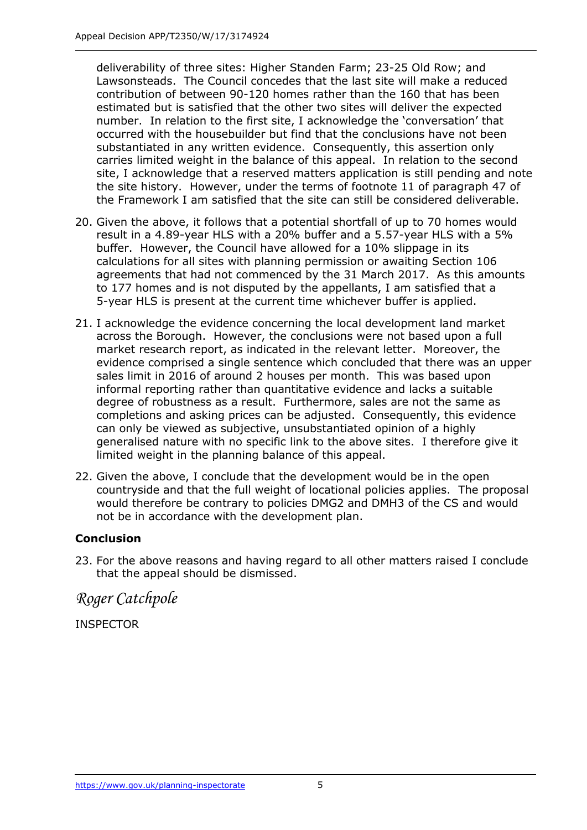deliverability of three sites: Higher Standen Farm; 23-25 Old Row; and Lawsonsteads. The Council concedes that the last site will make a reduced contribution of between 90-120 homes rather than the 160 that has been estimated but is satisfied that the other two sites will deliver the expected number. In relation to the first site, I acknowledge the 'conversation' that occurred with the housebuilder but find that the conclusions have not been substantiated in any written evidence. Consequently, this assertion only carries limited weight in the balance of this appeal. In relation to the second site, I acknowledge that a reserved matters application is still pending and note the site history. However, under the terms of footnote 11 of paragraph 47 of the Framework I am satisfied that the site can still be considered deliverable.

- 20. Given the above, it follows that a potential shortfall of up to 70 homes would result in a 4.89-year HLS with a 20% buffer and a 5.57-year HLS with a 5% buffer. However, the Council have allowed for a 10% slippage in its calculations for all sites with planning permission or awaiting Section 106 agreements that had not commenced by the 31 March 2017. As this amounts to 177 homes and is not disputed by the appellants, I am satisfied that a 5-year HLS is present at the current time whichever buffer is applied.
- 21. I acknowledge the evidence concerning the local development land market across the Borough. However, the conclusions were not based upon a full market research report, as indicated in the relevant letter. Moreover, the evidence comprised a single sentence which concluded that there was an upper sales limit in 2016 of around 2 houses per month. This was based upon informal reporting rather than quantitative evidence and lacks a suitable degree of robustness as a result. Furthermore, sales are not the same as completions and asking prices can be adjusted. Consequently, this evidence can only be viewed as subjective, unsubstantiated opinion of a highly generalised nature with no specific link to the above sites. I therefore give it limited weight in the planning balance of this appeal.
- 22. Given the above, I conclude that the development would be in the open countryside and that the full weight of locational policies applies. The proposal would therefore be contrary to policies DMG2 and DMH3 of the CS and would not be in accordance with the development plan.

# **Conclusion**

23. For the above reasons and having regard to all other matters raised I conclude that the appeal should be dismissed.

*Roger Catchpole*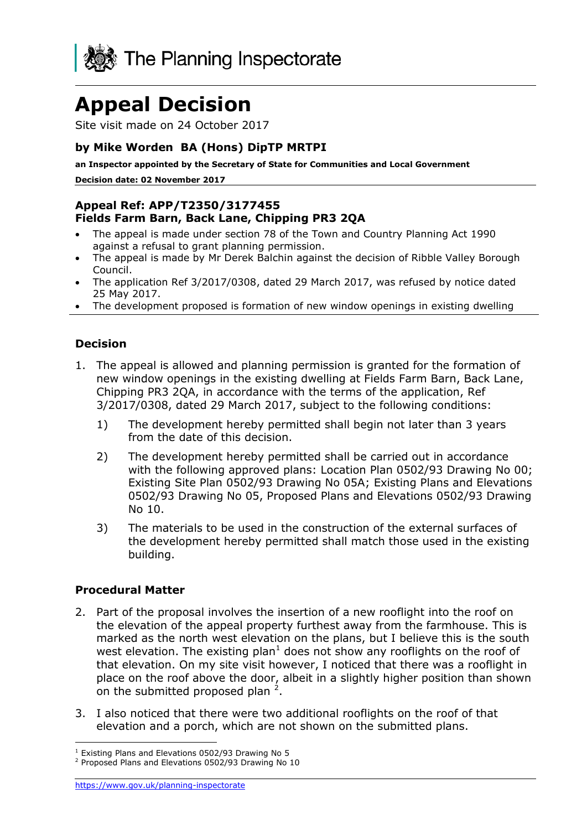

Site visit made on 24 October 2017

## **by Mike Worden BA (Hons) DipTP MRTPI**

**an Inspector appointed by the Secretary of State for Communities and Local Government**

**Decision date: 02 November 2017**

#### **Appeal Ref: APP/T2350/3177455 Fields Farm Barn, Back Lane, Chipping PR3 2QA**

- The appeal is made under section 78 of the Town and Country Planning Act 1990 against a refusal to grant planning permission.
- The appeal is made by Mr Derek Balchin against the decision of Ribble Valley Borough Council.
- The application Ref 3/2017/0308, dated 29 March 2017, was refused by notice dated 25 May 2017.
- The development proposed is formation of new window openings in existing dwelling

### **Decision**

- 1. The appeal is allowed and planning permission is granted for the formation of new window openings in the existing dwelling at Fields Farm Barn, Back Lane, Chipping PR3 2QA, in accordance with the terms of the application, Ref 3/2017/0308, dated 29 March 2017, subject to the following conditions:
	- 1) The development hereby permitted shall begin not later than 3 years from the date of this decision.
	- 2) The development hereby permitted shall be carried out in accordance with the following approved plans: Location Plan 0502/93 Drawing No 00; Existing Site Plan 0502/93 Drawing No 05A; Existing Plans and Elevations 0502/93 Drawing No 05, Proposed Plans and Elevations 0502/93 Drawing No 10.
	- 3) The materials to be used in the construction of the external surfaces of the development hereby permitted shall match those used in the existing building.

#### **Procedural Matter**

j

- 2. Part of the proposal involves the insertion of a new rooflight into the roof on the elevation of the appeal property furthest away from the farmhouse. This is marked as the north west elevation on the plans, but I believe this is the south west elevation. The existing plan<sup>1</sup> does not show any rooflights on the roof of that elevation. On my site visit however, I noticed that there was a rooflight in place on the roof above the door, albeit in a slightly higher position than shown on the submitted proposed plan  $2$ .
- 3. I also noticed that there were two additional rooflights on the roof of that elevation and a porch, which are not shown on the submitted plans.

<sup>1</sup> Existing Plans and Elevations 0502/93 Drawing No 5

<sup>2</sup> Proposed Plans and Elevations 0502/93 Drawing No 10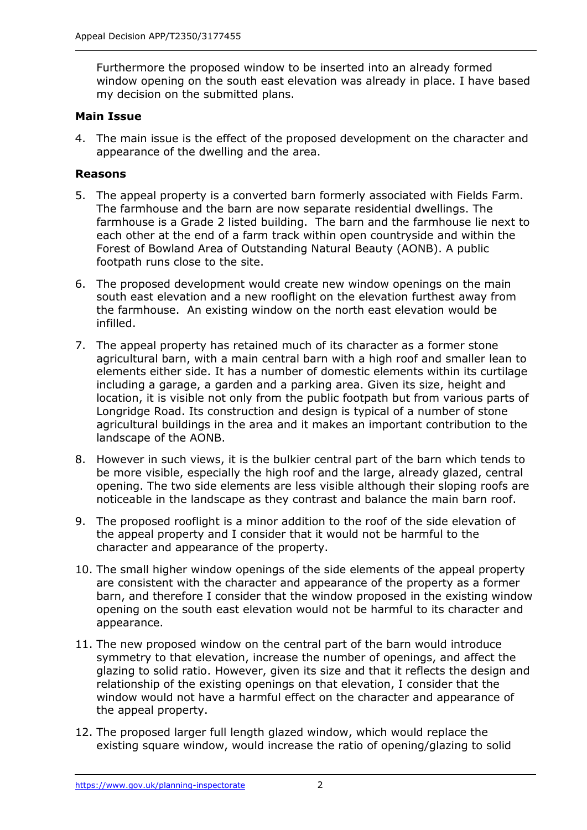Furthermore the proposed window to be inserted into an already formed window opening on the south east elevation was already in place. I have based my decision on the submitted plans.

## **Main Issue**

4. The main issue is the effect of the proposed development on the character and appearance of the dwelling and the area.

## **Reasons**

- 5. The appeal property is a converted barn formerly associated with Fields Farm. The farmhouse and the barn are now separate residential dwellings. The farmhouse is a Grade 2 listed building. The barn and the farmhouse lie next to each other at the end of a farm track within open countryside and within the Forest of Bowland Area of Outstanding Natural Beauty (AONB). A public footpath runs close to the site.
- 6. The proposed development would create new window openings on the main south east elevation and a new rooflight on the elevation furthest away from the farmhouse. An existing window on the north east elevation would be infilled.
- 7. The appeal property has retained much of its character as a former stone agricultural barn, with a main central barn with a high roof and smaller lean to elements either side. It has a number of domestic elements within its curtilage including a garage, a garden and a parking area. Given its size, height and location, it is visible not only from the public footpath but from various parts of Longridge Road. Its construction and design is typical of a number of stone agricultural buildings in the area and it makes an important contribution to the landscape of the AONB.
- 8. However in such views, it is the bulkier central part of the barn which tends to be more visible, especially the high roof and the large, already glazed, central opening. The two side elements are less visible although their sloping roofs are noticeable in the landscape as they contrast and balance the main barn roof.
- 9. The proposed rooflight is a minor addition to the roof of the side elevation of the appeal property and I consider that it would not be harmful to the character and appearance of the property.
- 10. The small higher window openings of the side elements of the appeal property are consistent with the character and appearance of the property as a former barn, and therefore I consider that the window proposed in the existing window opening on the south east elevation would not be harmful to its character and appearance.
- 11. The new proposed window on the central part of the barn would introduce symmetry to that elevation, increase the number of openings, and affect the glazing to solid ratio. However, given its size and that it reflects the design and relationship of the existing openings on that elevation, I consider that the window would not have a harmful effect on the character and appearance of the appeal property.
- 12. The proposed larger full length glazed window, which would replace the existing square window, would increase the ratio of opening/glazing to solid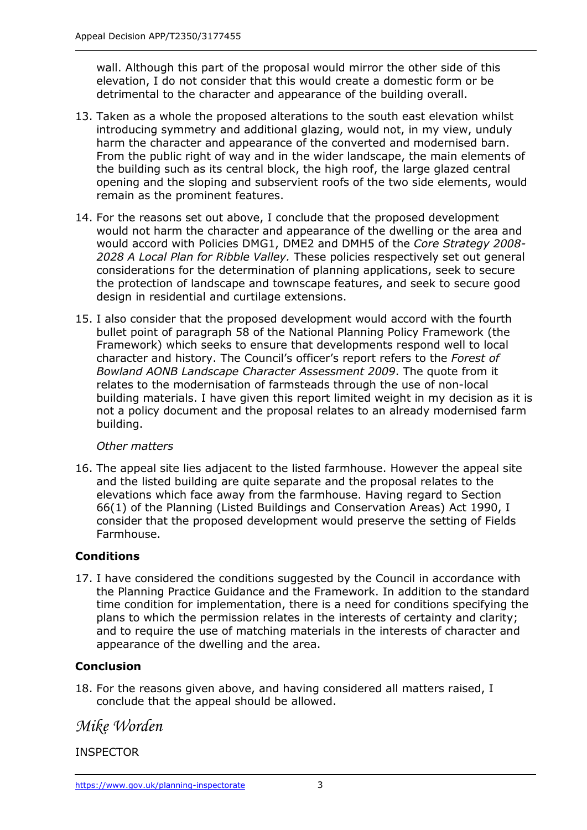wall. Although this part of the proposal would mirror the other side of this elevation, I do not consider that this would create a domestic form or be detrimental to the character and appearance of the building overall.

- 13. Taken as a whole the proposed alterations to the south east elevation whilst introducing symmetry and additional glazing, would not, in my view, unduly harm the character and appearance of the converted and modernised barn. From the public right of way and in the wider landscape, the main elements of the building such as its central block, the high roof, the large glazed central opening and the sloping and subservient roofs of the two side elements, would remain as the prominent features.
- 14. For the reasons set out above, I conclude that the proposed development would not harm the character and appearance of the dwelling or the area and would accord with Policies DMG1, DME2 and DMH5 of the *Core Strategy 2008- 2028 A Local Plan for Ribble Valley.* These policies respectively set out general considerations for the determination of planning applications, seek to secure the protection of landscape and townscape features, and seek to secure good design in residential and curtilage extensions.
- 15. I also consider that the proposed development would accord with the fourth bullet point of paragraph 58 of the National Planning Policy Framework (the Framework) which seeks to ensure that developments respond well to local character and history. The Council's officer's report refers to the *Forest of Bowland AONB Landscape Character Assessment 2009*. The quote from it relates to the modernisation of farmsteads through the use of non-local building materials. I have given this report limited weight in my decision as it is not a policy document and the proposal relates to an already modernised farm building.

# *Other matters*

16. The appeal site lies adjacent to the listed farmhouse. However the appeal site and the listed building are quite separate and the proposal relates to the elevations which face away from the farmhouse. Having regard to Section 66(1) of the Planning (Listed Buildings and Conservation Areas) Act 1990, I consider that the proposed development would preserve the setting of Fields Farmhouse.

# **Conditions**

17. I have considered the conditions suggested by the Council in accordance with the Planning Practice Guidance and the Framework. In addition to the standard time condition for implementation, there is a need for conditions specifying the plans to which the permission relates in the interests of certainty and clarity; and to require the use of matching materials in the interests of character and appearance of the dwelling and the area.

# **Conclusion**

18. For the reasons given above, and having considered all matters raised, I conclude that the appeal should be allowed.

# *Mike Worden*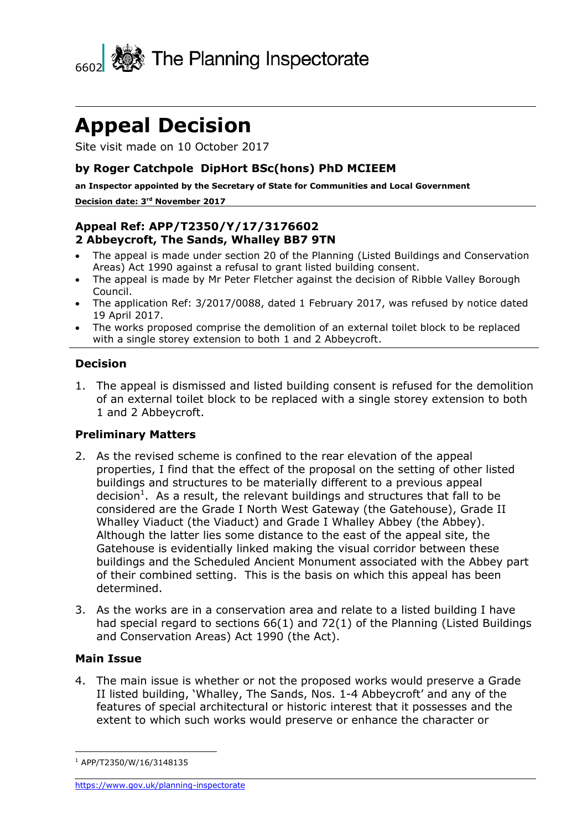

Site visit made on 10 October 2017

### **by Roger Catchpole DipHort BSc(hons) PhD MCIEEM**

**an Inspector appointed by the Secretary of State for Communities and Local Government Decision date: 3 rd November 2017**

### **Appeal Ref: APP/T2350/Y/17/3176602 2 Abbeycroft, The Sands, Whalley BB7 9TN**

- The appeal is made under section 20 of the Planning (Listed Buildings and Conservation Areas) Act 1990 against a refusal to grant listed building consent.
- The appeal is made by Mr Peter Fletcher against the decision of Ribble Valley Borough Council.
- The application Ref: 3/2017/0088, dated 1 February 2017, was refused by notice dated 19 April 2017.
- The works proposed comprise the demolition of an external toilet block to be replaced with a single storey extension to both 1 and 2 Abbeycroft.

#### **Decision**

1. The appeal is dismissed and listed building consent is refused for the demolition of an external toilet block to be replaced with a single storey extension to both 1 and 2 Abbeycroft.

#### **Preliminary Matters**

- 2. As the revised scheme is confined to the rear elevation of the appeal properties, I find that the effect of the proposal on the setting of other listed buildings and structures to be materially different to a previous appeal decision<sup>1</sup>. As a result, the relevant buildings and structures that fall to be considered are the Grade I North West Gateway (the Gatehouse), Grade II Whalley Viaduct (the Viaduct) and Grade I Whalley Abbey (the Abbey). Although the latter lies some distance to the east of the appeal site, the Gatehouse is evidentially linked making the visual corridor between these buildings and the Scheduled Ancient Monument associated with the Abbey part of their combined setting. This is the basis on which this appeal has been determined.
- 3. As the works are in a conservation area and relate to a listed building I have had special regard to sections 66(1) and 72(1) of the Planning (Listed Buildings and Conservation Areas) Act 1990 (the Act).

#### **Main Issue**

j

4. The main issue is whether or not the proposed works would preserve a Grade II listed building, 'Whalley, The Sands, Nos. 1-4 Abbeycroft' and any of the features of special architectural or historic interest that it possesses and the extent to which such works would preserve or enhance the character or

<sup>1</sup> APP/T2350/W/16/3148135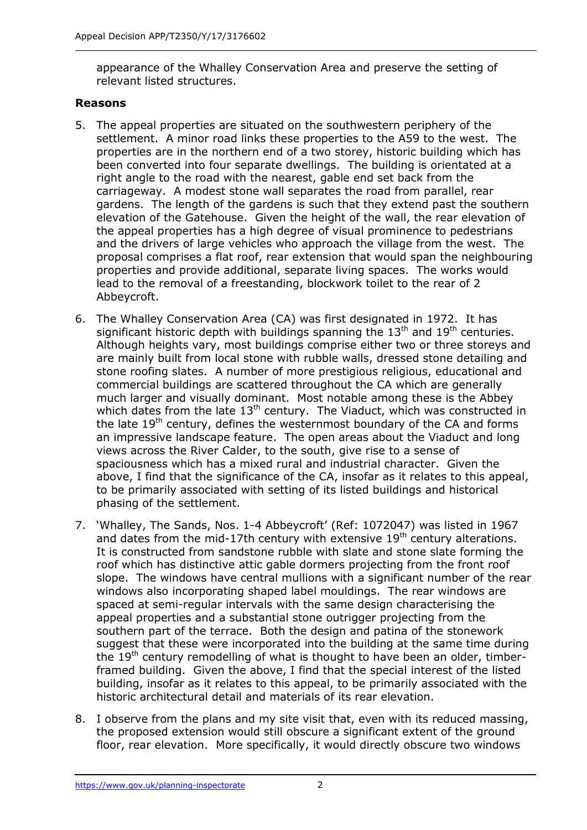appearance of the Whalley Conservation Area and preserve the setting of relevant listed structures.

### **Reasons**

- 5. The appeal properties are situated on the southwestern periphery of the settlement. A minor road links these properties to the A59 to the west. The properties are in the northern end of a two storey, historic building which has been converted into four separate dwellings. The building is orientated at a right angle to the road with the nearest, gable end set back from the carriageway. A modest stone wall separates the road from parallel, rear gardens. The length of the gardens is such that they extend past the southern elevation of the Gatehouse. Given the height of the wall, the rear elevation of the appeal properties has a high degree of visual prominence to pedestrians and the drivers of large vehicles who approach the village from the west. The proposal comprises a flat roof, rear extension that would span the neighbouring properties and provide additional, separate living spaces. The works would lead to the removal of a freestanding, blockwork toilet to the rear of 2 Abbeycroft.
- 6. The Whalley Conservation Area (CA) was first designated in 1972. It has significant historic depth with buildings spanning the  $13<sup>th</sup>$  and  $19<sup>th</sup>$  centuries. Although heights vary, most buildings comprise either two or three storeys and are mainly built from local stone with rubble walls, dressed stone detailing and stone roofing slates. A number of more prestigious religious, educational and commercial buildings are scattered throughout the CA which are generally much larger and visually dominant. Most notable among these is the Abbey which dates from the late  $13<sup>th</sup>$  century. The Viaduct, which was constructed in the late 19<sup>th</sup> century, defines the westernmost boundary of the CA and forms an impressive landscape feature. The open areas about the Viaduct and long views across the River Calder, to the south, give rise to a sense of spaciousness which has a mixed rural and industrial character. Given the above, I find that the significance of the CA, insofar as it relates to this appeal, to be primarily associated with setting of its listed buildings and historical phasing of the settlement.
- 7. 'Whalley, The Sands, Nos. 1-4 Abbeycroft' (Ref: 1072047) was listed in 1967 and dates from the mid-17th century with extensive  $19<sup>th</sup>$  century alterations. It is constructed from sandstone rubble with slate and stone slate forming the roof which has distinctive attic gable dormers projecting from the front roof slope. The windows have central mullions with a significant number of the rear windows also incorporating shaped label mouldings. The rear windows are spaced at semi-regular intervals with the same design characterising the appeal properties and a substantial stone outrigger projecting from the southern part of the terrace. Both the design and patina of the stonework suggest that these were incorporated into the building at the same time during the  $19<sup>th</sup>$  century remodelling of what is thought to have been an older, timberframed building. Given the above, I find that the special interest of the listed building, insofar as it relates to this appeal, to be primarily associated with the historic architectural detail and materials of its rear elevation.
- 8. I observe from the plans and my site visit that, even with its reduced massing, the proposed extension would still obscure a significant extent of the ground floor, rear elevation. More specifically, it would directly obscure two windows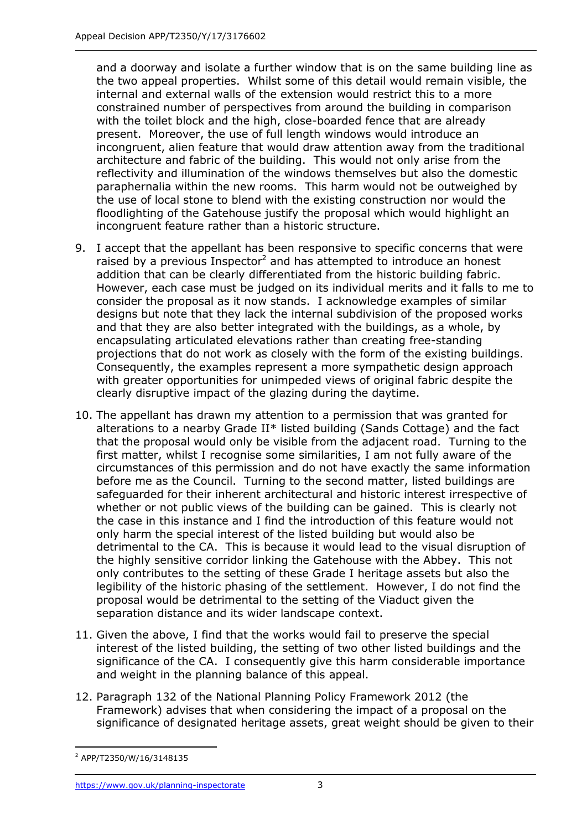and a doorway and isolate a further window that is on the same building line as the two appeal properties. Whilst some of this detail would remain visible, the internal and external walls of the extension would restrict this to a more constrained number of perspectives from around the building in comparison with the toilet block and the high, close-boarded fence that are already present. Moreover, the use of full length windows would introduce an incongruent, alien feature that would draw attention away from the traditional architecture and fabric of the building. This would not only arise from the reflectivity and illumination of the windows themselves but also the domestic paraphernalia within the new rooms. This harm would not be outweighed by the use of local stone to blend with the existing construction nor would the floodlighting of the Gatehouse justify the proposal which would highlight an incongruent feature rather than a historic structure.

- 9. I accept that the appellant has been responsive to specific concerns that were raised by a previous Inspector<sup>2</sup> and has attempted to introduce an honest addition that can be clearly differentiated from the historic building fabric. However, each case must be judged on its individual merits and it falls to me to consider the proposal as it now stands. I acknowledge examples of similar designs but note that they lack the internal subdivision of the proposed works and that they are also better integrated with the buildings, as a whole, by encapsulating articulated elevations rather than creating free-standing projections that do not work as closely with the form of the existing buildings. Consequently, the examples represent a more sympathetic design approach with greater opportunities for unimpeded views of original fabric despite the clearly disruptive impact of the glazing during the daytime.
- 10. The appellant has drawn my attention to a permission that was granted for alterations to a nearby Grade II\* listed building (Sands Cottage) and the fact that the proposal would only be visible from the adjacent road. Turning to the first matter, whilst I recognise some similarities, I am not fully aware of the circumstances of this permission and do not have exactly the same information before me as the Council. Turning to the second matter, listed buildings are safeguarded for their inherent architectural and historic interest irrespective of whether or not public views of the building can be gained. This is clearly not the case in this instance and I find the introduction of this feature would not only harm the special interest of the listed building but would also be detrimental to the CA. This is because it would lead to the visual disruption of the highly sensitive corridor linking the Gatehouse with the Abbey. This not only contributes to the setting of these Grade I heritage assets but also the legibility of the historic phasing of the settlement. However, I do not find the proposal would be detrimental to the setting of the Viaduct given the separation distance and its wider landscape context.
- 11. Given the above, I find that the works would fail to preserve the special interest of the listed building, the setting of two other listed buildings and the significance of the CA. I consequently give this harm considerable importance and weight in the planning balance of this appeal.
- 12. Paragraph 132 of the National Planning Policy Framework 2012 (the Framework) advises that when considering the impact of a proposal on the significance of designated heritage assets, great weight should be given to their

<sup>-</sup><sup>2</sup> APP/T2350/W/16/3148135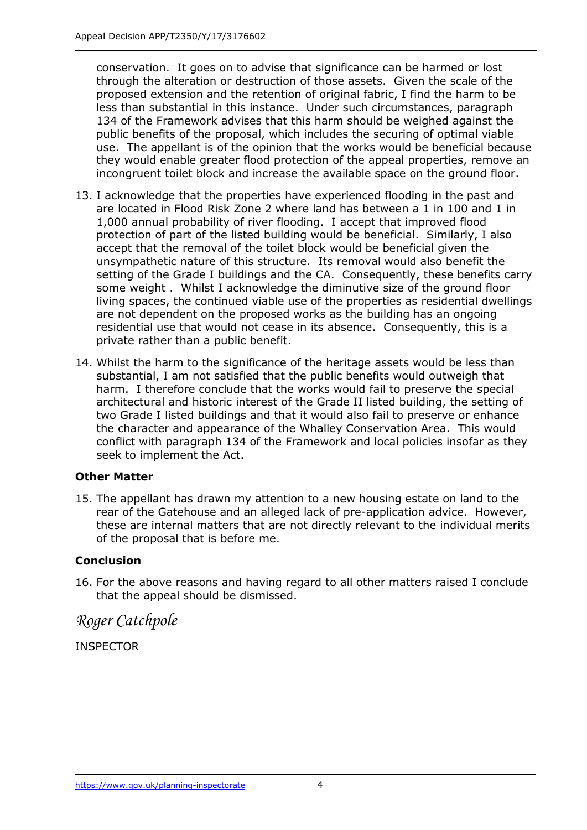conservation. It goes on to advise that significance can be harmed or lost through the alteration or destruction of those assets. Given the scale of the proposed extension and the retention of original fabric, I find the harm to be less than substantial in this instance. Under such circumstances, paragraph 134 of the Framework advises that this harm should be weighed against the public benefits of the proposal, which includes the securing of optimal viable use. The appellant is of the opinion that the works would be beneficial because they would enable greater flood protection of the appeal properties, remove an incongruent toilet block and increase the available space on the ground floor.

- 13. I acknowledge that the properties have experienced flooding in the past and are located in Flood Risk Zone 2 where land has between a 1 in 100 and 1 in 1,000 annual probability of river flooding. I accept that improved flood protection of part of the listed building would be beneficial. Similarly, I also accept that the removal of the toilet block would be beneficial given the unsympathetic nature of this structure. Its removal would also benefit the setting of the Grade I buildings and the CA. Consequently, these benefits carry some weight . Whilst I acknowledge the diminutive size of the ground floor living spaces, the continued viable use of the properties as residential dwellings are not dependent on the proposed works as the building has an ongoing residential use that would not cease in its absence. Consequently, this is a private rather than a public benefit.
- 14. Whilst the harm to the significance of the heritage assets would be less than substantial, I am not satisfied that the public benefits would outweigh that harm. I therefore conclude that the works would fail to preserve the special architectural and historic interest of the Grade II listed building, the setting of two Grade I listed buildings and that it would also fail to preserve or enhance the character and appearance of the Whalley Conservation Area. This would conflict with paragraph 134 of the Framework and local policies insofar as they seek to implement the Act.

#### **Other Matter**

15. The appellant has drawn my attention to a new housing estate on land to the rear of the Gatehouse and an alleged lack of pre-application advice. However, these are internal matters that are not directly relevant to the individual merits of the proposal that is before me.

#### **Conclusion**

16. For the above reasons and having regard to all other matters raised I conclude that the appeal should be dismissed.

*Roger Catchpole*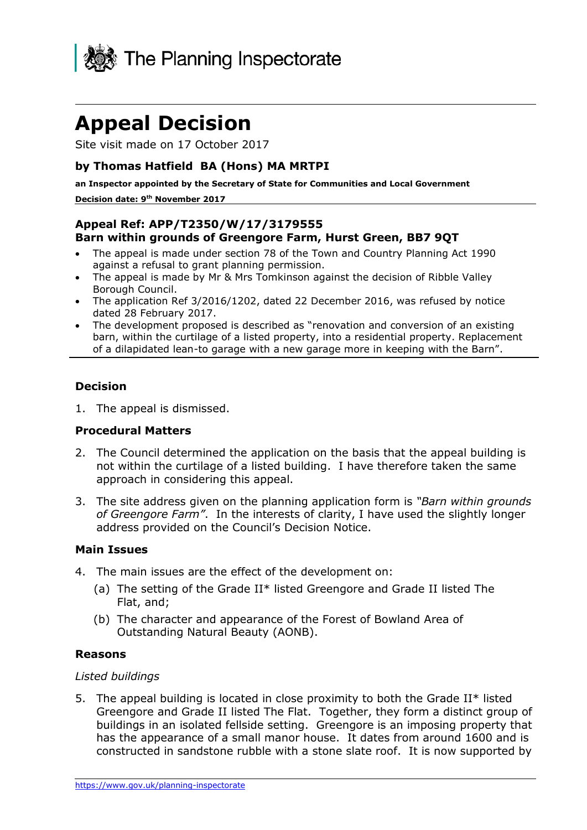

Site visit made on 17 October 2017

## **by Thomas Hatfield BA (Hons) MA MRTPI**

**an Inspector appointed by the Secretary of State for Communities and Local Government Decision date: 9 th November 2017**

## **Appeal Ref: APP/T2350/W/17/3179555 Barn within grounds of Greengore Farm, Hurst Green, BB7 9QT**

- The appeal is made under section 78 of the Town and Country Planning Act 1990 against a refusal to grant planning permission.
- The appeal is made by Mr & Mrs Tomkinson against the decision of Ribble Valley Borough Council.
- The application Ref 3/2016/1202, dated 22 December 2016, was refused by notice dated 28 February 2017.
- The development proposed is described as "renovation and conversion of an existing barn, within the curtilage of a listed property, into a residential property. Replacement of a dilapidated lean-to garage with a new garage more in keeping with the Barn".

### **Decision**

1. The appeal is dismissed.

#### **Procedural Matters**

- 2. The Council determined the application on the basis that the appeal building is not within the curtilage of a listed building. I have therefore taken the same approach in considering this appeal.
- 3. The site address given on the planning application form is *"Barn within grounds of Greengore Farm"*. In the interests of clarity, I have used the slightly longer address provided on the Council's Decision Notice.

#### **Main Issues**

- 4. The main issues are the effect of the development on:
	- (a) The setting of the Grade II\* listed Greengore and Grade II listed The Flat, and;
	- (b) The character and appearance of the Forest of Bowland Area of Outstanding Natural Beauty (AONB).

#### **Reasons**

#### *Listed buildings*

5. The appeal building is located in close proximity to both the Grade II\* listed Greengore and Grade II listed The Flat. Together, they form a distinct group of buildings in an isolated fellside setting. Greengore is an imposing property that has the appearance of a small manor house. It dates from around 1600 and is constructed in sandstone rubble with a stone slate roof. It is now supported by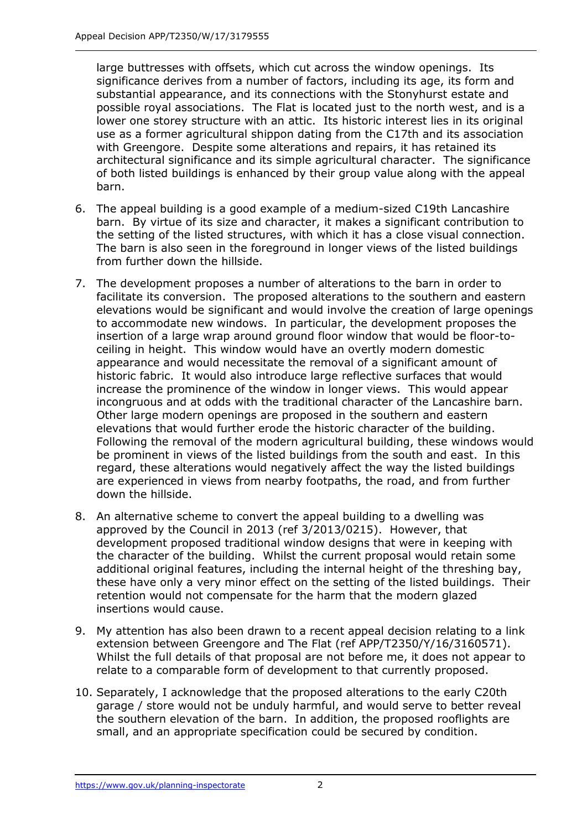large buttresses with offsets, which cut across the window openings. Its significance derives from a number of factors, including its age, its form and substantial appearance, and its connections with the Stonyhurst estate and possible royal associations. The Flat is located just to the north west, and is a lower one storey structure with an attic. Its historic interest lies in its original use as a former agricultural shippon dating from the C17th and its association with Greengore. Despite some alterations and repairs, it has retained its architectural significance and its simple agricultural character. The significance of both listed buildings is enhanced by their group value along with the appeal barn.

- 6. The appeal building is a good example of a medium-sized C19th Lancashire barn. By virtue of its size and character, it makes a significant contribution to the setting of the listed structures, with which it has a close visual connection. The barn is also seen in the foreground in longer views of the listed buildings from further down the hillside.
- 7. The development proposes a number of alterations to the barn in order to facilitate its conversion. The proposed alterations to the southern and eastern elevations would be significant and would involve the creation of large openings to accommodate new windows. In particular, the development proposes the insertion of a large wrap around ground floor window that would be floor-toceiling in height. This window would have an overtly modern domestic appearance and would necessitate the removal of a significant amount of historic fabric. It would also introduce large reflective surfaces that would increase the prominence of the window in longer views. This would appear incongruous and at odds with the traditional character of the Lancashire barn. Other large modern openings are proposed in the southern and eastern elevations that would further erode the historic character of the building. Following the removal of the modern agricultural building, these windows would be prominent in views of the listed buildings from the south and east. In this regard, these alterations would negatively affect the way the listed buildings are experienced in views from nearby footpaths, the road, and from further down the hillside.
- 8. An alternative scheme to convert the appeal building to a dwelling was approved by the Council in 2013 (ref 3/2013/0215). However, that development proposed traditional window designs that were in keeping with the character of the building. Whilst the current proposal would retain some additional original features, including the internal height of the threshing bay, these have only a very minor effect on the setting of the listed buildings. Their retention would not compensate for the harm that the modern glazed insertions would cause.
- 9. My attention has also been drawn to a recent appeal decision relating to a link extension between Greengore and The Flat (ref APP/T2350/Y/16/3160571). Whilst the full details of that proposal are not before me, it does not appear to relate to a comparable form of development to that currently proposed.
- 10. Separately, I acknowledge that the proposed alterations to the early C20th garage / store would not be unduly harmful, and would serve to better reveal the southern elevation of the barn. In addition, the proposed rooflights are small, and an appropriate specification could be secured by condition.